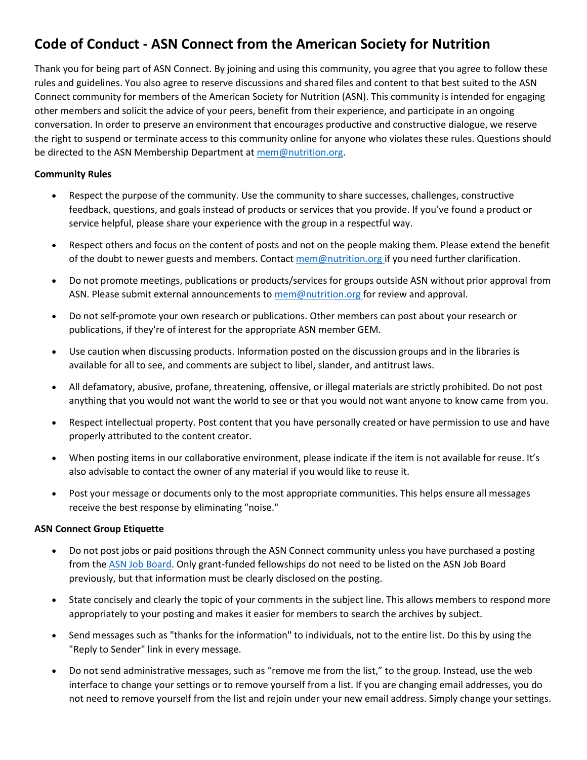# **Code of Conduct - ASN Connect from the American Society for Nutrition**

Thank you for being part of ASN Connect. By joining and using this community, you agree that you agree to follow these rules and guidelines. You also agree to reserve discussions and shared files and content to that best suited to the ASN Connect community for members of the American Society for Nutrition (ASN). This community is intended for engaging other members and solicit the advice of your peers, benefit from their experience, and participate in an ongoing conversation. In order to preserve an environment that encourages productive and constructive dialogue, we reserve the right to suspend or terminate access to this community online for anyone who violates these rules. Questions should be directed to the ASN Membership Department at [mem@nutrition.org.](mailto:mem@nutrition.org?subject=Question%20about%20ASN%20Connect)

# **Community Rules**

- Respect the purpose of the community. Use the community to share successes, challenges, constructive feedback, questions, and goals instead of products or services that you provide. If you've found a product or service helpful, please share your experience with the group in a respectful way.
- Respect others and focus on the content of posts and not on the people making them. Please extend the benefit of the doubt to newer guests and members. Contact [mem@nutrition.org](mailto:mem@nutrition.org?subject=Question%20about%20ASN%20Connect) if you need further clarification.
- Do not promote meetings, publications or products/services for groups outside ASN without prior approval from ASN. Please submit external announcements to [mem@nutrition.org](mailto:mem@nutrition.org?subject=Question%20about%20ASN%20Connect) for review and approval.
- Do not self-promote your own research or publications. Other members can post about your research or publications, if they're of interest for the appropriate ASN member GEM.
- Use caution when discussing products. Information posted on the discussion groups and in the libraries is available for all to see, and comments are subject to libel, slander, and antitrust laws.
- All defamatory, abusive, profane, threatening, offensive, or illegal materials are strictly prohibited. Do not post anything that you would not want the world to see or that you would not want anyone to know came from you.
- Respect intellectual property. Post content that you have personally created or have permission to use and have properly attributed to the content creator.
- When posting items in our collaborative environment, please indicate if the item is not available for reuse. It's also advisable to contact the owner of any material if you would like to reuse it.
- Post your message or documents only to the most appropriate communities. This helps ensure all messages receive the best response by eliminating "noise."

#### **ASN Connect Group Etiquette**

- Do not post jobs or paid positions through the ASN Connect community unless you have purchased a posting from the [ASN Job Board.](https://nutrition.mcjobboard.net/) Only grant-funded fellowships do not need to be listed on the ASN Job Board previously, but that information must be clearly disclosed on the posting.
- State concisely and clearly the topic of your comments in the subject line. This allows members to respond more appropriately to your posting and makes it easier for members to search the archives by subject.
- Send messages such as "thanks for the information" to individuals, not to the entire list. Do this by using the "Reply to Sender" link in every message.
- Do not send administrative messages, such as "remove me from the list," to the group. Instead, use the web interface to change your settings or to remove yourself from a list. If you are changing email addresses, you do not need to remove yourself from the list and rejoin under your new email address. Simply change your settings.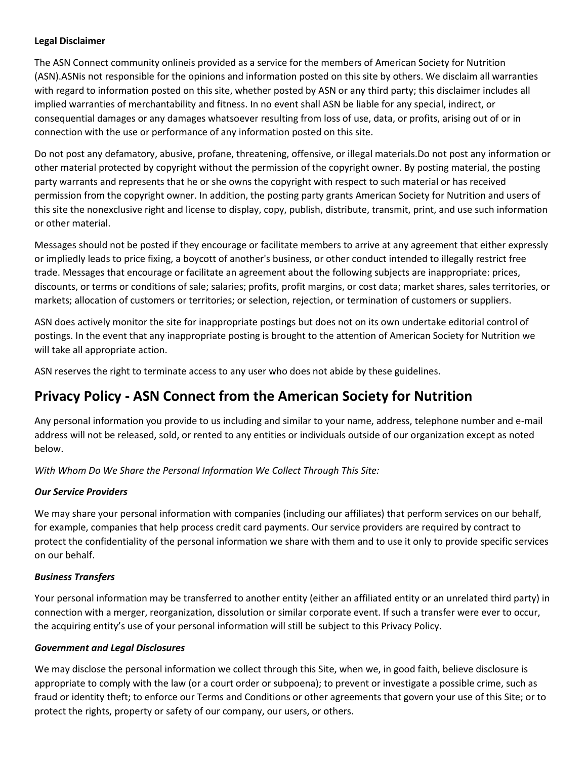#### **Legal Disclaimer**

The ASN Connect community onlineis provided as a service for the members of American Society for Nutrition (ASN).ASNis not responsible for the opinions and information posted on this site by others. We disclaim all warranties with regard to information posted on this site, whether posted by ASN or any third party; this disclaimer includes all implied warranties of merchantability and fitness. In no event shall ASN be liable for any special, indirect, or consequential damages or any damages whatsoever resulting from loss of use, data, or profits, arising out of or in connection with the use or performance of any information posted on this site.

Do not post any defamatory, abusive, profane, threatening, offensive, or illegal materials.Do not post any information or other material protected by copyright without the permission of the copyright owner. By posting material, the posting party warrants and represents that he or she owns the copyright with respect to such material or has received permission from the copyright owner. In addition, the posting party grants American Society for Nutrition and users of this site the nonexclusive right and license to display, copy, publish, distribute, transmit, print, and use such information or other material.

Messages should not be posted if they encourage or facilitate members to arrive at any agreement that either expressly or impliedly leads to price fixing, a boycott of another's business, or other conduct intended to illegally restrict free trade. Messages that encourage or facilitate an agreement about the following subjects are inappropriate: prices, discounts, or terms or conditions of sale; salaries; profits, profit margins, or cost data; market shares, sales territories, or markets; allocation of customers or territories; or selection, rejection, or termination of customers or suppliers.

ASN does actively monitor the site for inappropriate postings but does not on its own undertake editorial control of postings. In the event that any inappropriate posting is brought to the attention of American Society for Nutrition we will take all appropriate action.

ASN reserves the right to terminate access to any user who does not abide by these guidelines.

# **Privacy Policy - ASN Connect from the American Society for Nutrition**

Any personal information you provide to us including and similar to your name, address, telephone number and e-mail address will not be released, sold, or rented to any entities or individuals outside of our organization except as noted below.

*With Whom Do We Share the Personal Information We Collect Through This Site:*

# *Our Service Providers*

We may share your personal information with companies (including our affiliates) that perform services on our behalf, for example, companies that help process credit card payments. Our service providers are required by contract to protect the confidentiality of the personal information we share with them and to use it only to provide specific services on our behalf.

# *Business Transfers*

Your personal information may be transferred to another entity (either an affiliated entity or an unrelated third party) in connection with a merger, reorganization, dissolution or similar corporate event. If such a transfer were ever to occur, the acquiring entity's use of your personal information will still be subject to this Privacy Policy.

#### *Government and Legal Disclosures*

We may disclose the personal information we collect through this Site, when we, in good faith, believe disclosure is appropriate to comply with the law (or a court order or subpoena); to prevent or investigate a possible crime, such as fraud or identity theft; to enforce our Terms and Conditions or other agreements that govern your use of this Site; or to protect the rights, property or safety of our company, our users, or others.